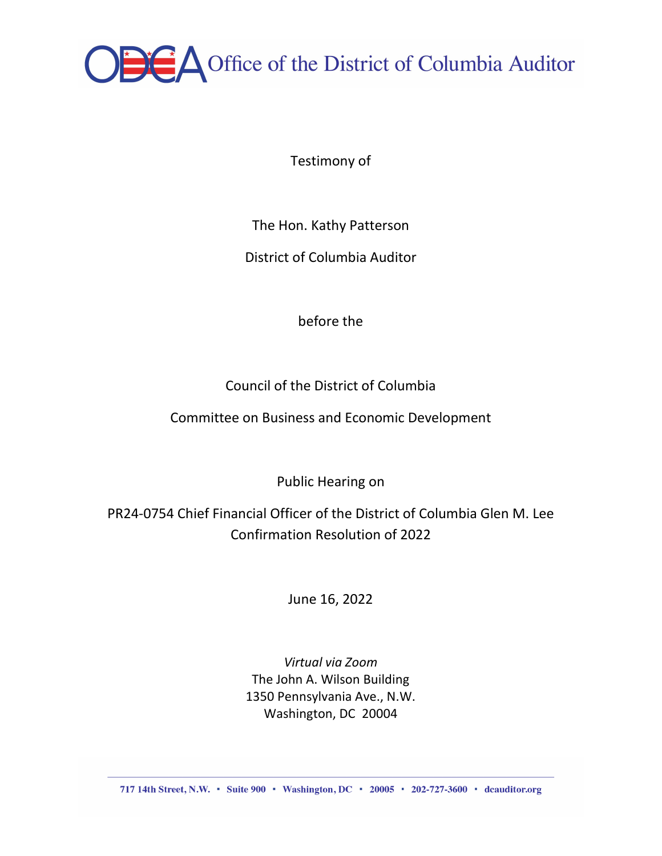

Testimony of

The Hon. Kathy Patterson

District of Columbia Auditor

before the

Council of the District of Columbia

Committee on Business and Economic Development

Public Hearing on

PR24-0754 Chief Financial Officer of the District of Columbia Glen M. Lee Confirmation Resolution of 2022

June 16, 2022

*Virtual via Zoom* The John A. Wilson Building 1350 Pennsylvania Ave., N.W. Washington, DC 20004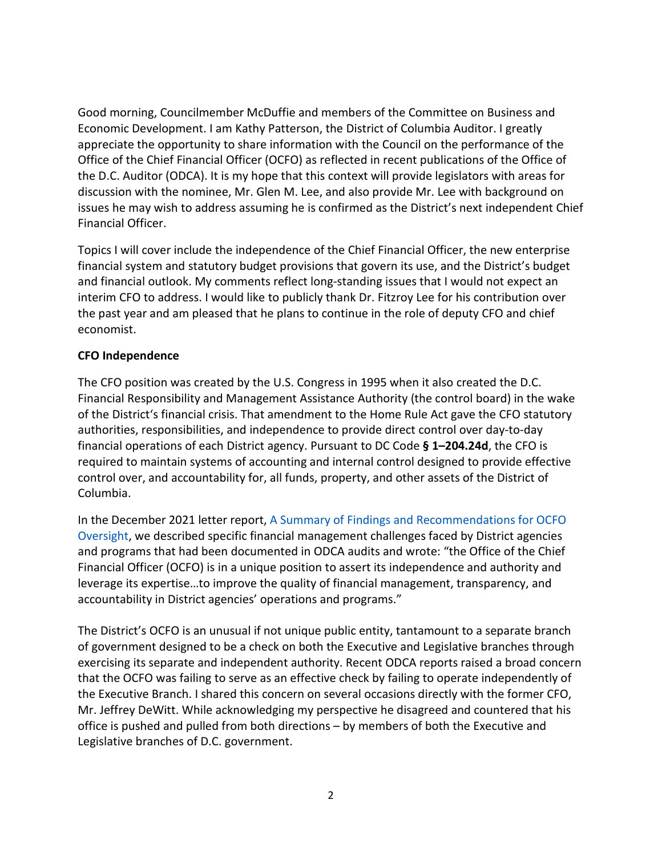Good morning, Councilmember McDuffie and members of the Committee on Business and Economic Development. I am Kathy Patterson, the District of Columbia Auditor. I greatly appreciate the opportunity to share information with the Council on the performance of the Office of the Chief Financial Officer (OCFO) as reflected in recent publications of the Office of the D.C. Auditor (ODCA). It is my hope that this context will provide legislators with areas for discussion with the nominee, Mr. Glen M. Lee, and also provide Mr. Lee with background on issues he may wish to address assuming he is confirmed as the District's next independent Chief Financial Officer.

Topics I will cover include the independence of the Chief Financial Officer, the new enterprise financial system and statutory budget provisions that govern its use, and the District's budget and financial outlook. My comments reflect long-standing issues that I would not expect an interim CFO to address. I would like to publicly thank Dr. Fitzroy Lee for his contribution over the past year and am pleased that he plans to continue in the role of deputy CFO and chief economist.

# **CFO Independence**

The CFO position was created by the U.S. Congress in 1995 when it also created the D.C. Financial Responsibility and Management Assistance Authority (the control board) in the wake of the District's financial crisis. That amendment to the Home Rule Act gave the CFO statutory authorities, responsibilities, and independence to provide direct control over day-to-day financial operations of each District agency. Pursuant to DC Code **§ 1–204.24d**, the CFO is required to maintain systems of accounting and internal control designed to provide effective control over, and accountability for, all funds, property, and other assets of the District of Columbia.

In the December 2021 letter report, [A Summary of Findings and Recommendations for OCFO](https://zd4l62ki6k620lqb52h9ldm1-wpengine.netdna-ssl.com/wp-content/uploads/2021/12/OCFO.Oversight.Report.12.3.21.Web_.pdf)  [Oversight,](https://zd4l62ki6k620lqb52h9ldm1-wpengine.netdna-ssl.com/wp-content/uploads/2021/12/OCFO.Oversight.Report.12.3.21.Web_.pdf) we described specific financial management challenges faced by District agencies and programs that had been documented in ODCA audits and wrote: "the Office of the Chief Financial Officer (OCFO) is in a unique position to assert its independence and authority and leverage its expertise…to improve the quality of financial management, transparency, and accountability in District agencies' operations and programs."

The District's OCFO is an unusual if not unique public entity, tantamount to a separate branch of government designed to be a check on both the Executive and Legislative branches through exercising its separate and independent authority. Recent ODCA reports raised a broad concern that the OCFO was failing to serve as an effective check by failing to operate independently of the Executive Branch. I shared this concern on several occasions directly with the former CFO, Mr. Jeffrey DeWitt. While acknowledging my perspective he disagreed and countered that his office is pushed and pulled from both directions – by members of both the Executive and Legislative branches of D.C. government.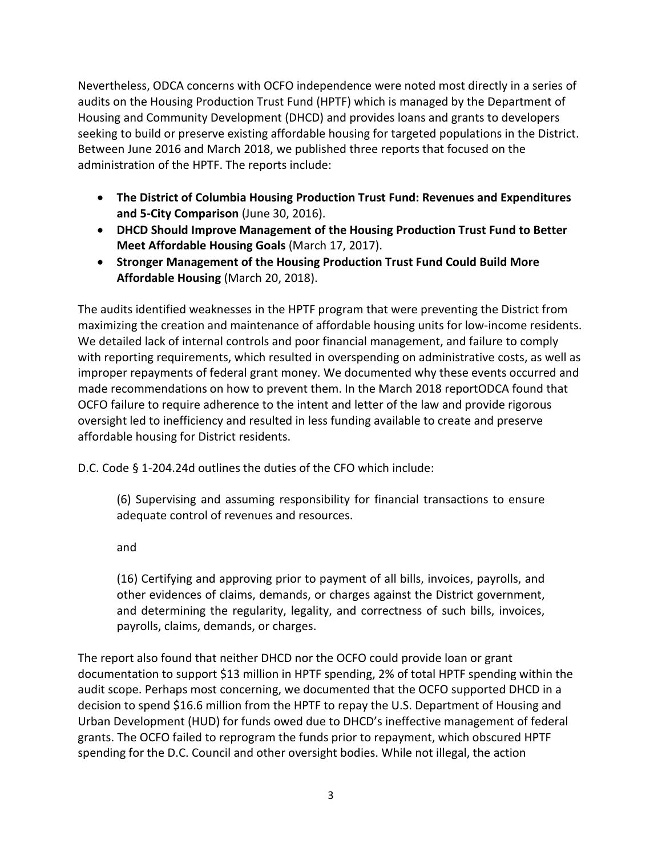Nevertheless, ODCA concerns with OCFO independence were noted most directly in a series of audits on the Housing Production Trust Fund (HPTF) which is managed by the Department of Housing and Community Development (DHCD) and provides loans and grants to developers seeking to build or preserve existing affordable housing for targeted populations in the District. Between June 2016 and March 2018, we published three reports that focused on the administration of the HPTF. The reports include:

- **[The District of Columbia Housing Production Trust Fund: Revenues and Expenditures](http://dcauditor.org/report/the-district-of-columbia-housing-production-trust-fund-revenues-and-expenditures-and-5-city-comparison/)  [and 5-City Comparison](http://dcauditor.org/report/the-district-of-columbia-housing-production-trust-fund-revenues-and-expenditures-and-5-city-comparison/)** (June 30, 2016).
- **[DHCD Should Improve Management of the Housing Production Trust Fund to Better](http://dcauditor.org/report/dhcd-should-improve-management-of-the-housing-production-trust-fund-to-better-meet-affordable-housing-goals/)  [Meet Affordable Housing Goals](http://dcauditor.org/report/dhcd-should-improve-management-of-the-housing-production-trust-fund-to-better-meet-affordable-housing-goals/)** (March 17, 2017).
- **[Stronger Management of the Housing Production Trust Fund Could Build More](http://dcauditor.org/report/stronger-management-of-the-housing-production-trust-fund-could-build-more-affordable-housing/)  [Affordable Housing](http://dcauditor.org/report/stronger-management-of-the-housing-production-trust-fund-could-build-more-affordable-housing/)** (March 20, 2018).

The audits identified weaknesses in the HPTF program that were preventing the District from maximizing the creation and maintenance of affordable housing units for low-income residents. We detailed lack of internal controls and poor financial management, and failure to comply with reporting requirements, which resulted in overspending on administrative costs, as well as improper repayments of federal grant money. We documented why these events occurred and made recommendations on how to prevent them. In the March 2018 reportODCA found that OCFO failure to require adherence to the intent and letter of the law and provide rigorous oversight led to inefficiency and resulted in less funding available to create and preserve affordable housing for District residents.

D.C. Code § 1-204.24d outlines the duties of the CFO which include:

(6) Supervising and assuming responsibility for financial transactions to ensure adequate control of revenues and resources.

and

(16) Certifying and approving prior to payment of all bills, invoices, payrolls, and other evidences of claims, demands, or charges against the District government, and determining the regularity, legality, and correctness of such bills, invoices, payrolls, claims, demands, or charges.

The report also found that neither DHCD nor the OCFO could provide loan or grant documentation to support \$13 million in HPTF spending, 2% of total HPTF spending within the audit scope. Perhaps most concerning, we documented that the OCFO supported DHCD in a decision to spend \$16.6 million from the HPTF to repay the U.S. Department of Housing and Urban Development (HUD) for funds owed due to DHCD's ineffective management of federal grants. The OCFO failed to reprogram the funds prior to repayment, which obscured HPTF spending for the D.C. Council and other oversight bodies. While not illegal, the action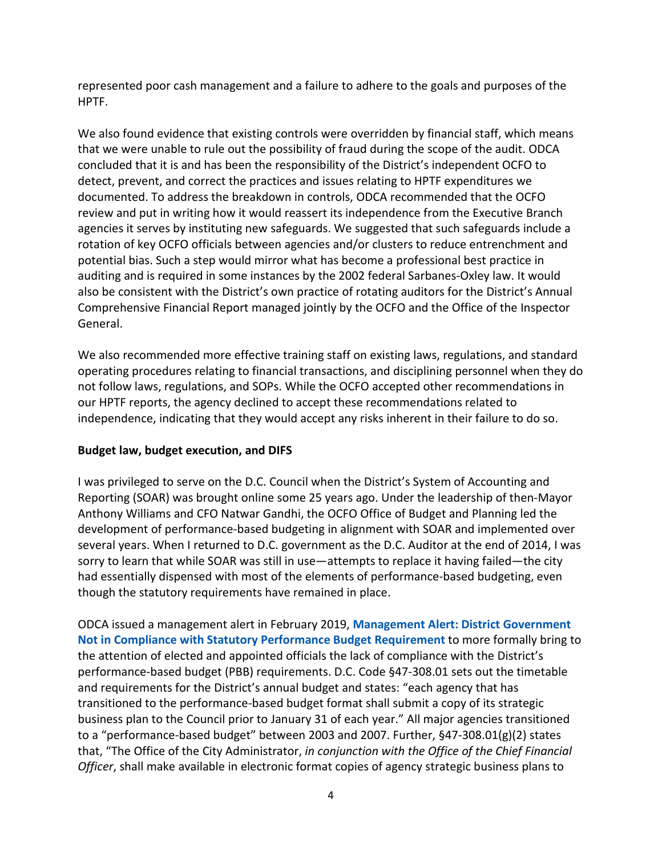represented poor cash management and a failure to adhere to the goals and purposes of the HPTF.

We also found evidence that existing controls were overridden by financial staff, which means that we were unable to rule out the possibility of fraud during the scope of the audit. ODCA concluded that it is and has been the responsibility of the District's independent OCFO to detect, prevent, and correct the practices and issues relating to HPTF expenditures we documented. To address the breakdown in controls, ODCA recommended that the OCFO review and put in writing how it would reassert its independence from the Executive Branch agencies it serves by instituting new safeguards. We suggested that such safeguards include a rotation of key OCFO officials between agencies and/or clusters to reduce entrenchment and potential bias. Such a step would mirror what has become a professional best practice in auditing and is required in some instances by the 2002 federal Sarbanes-Oxley law. It would also be consistent with the District's own practice of rotating auditors for the District's Annual Comprehensive Financial Report managed jointly by the OCFO and the Office of the Inspector General.

We also recommended more effective training staff on existing laws, regulations, and standard operating procedures relating to financial transactions, and disciplining personnel when they do not follow laws, regulations, and SOPs. While the OCFO accepted other recommendations in our HPTF reports, the agency declined to accept these recommendations related to independence, indicating that they would accept any risks inherent in their failure to do so.

## **Budget law, budget execution, and DIFS**

I was privileged to serve on the D.C. Council when the District's System of Accounting and Reporting (SOAR) was brought online some 25 years ago. Under the leadership of then-Mayor Anthony Williams and CFO Natwar Gandhi, the OCFO Office of Budget and Planning led the development of performance-based budgeting in alignment with SOAR and implemented over several years. When I returned to D.C. government as the D.C. Auditor at the end of 2014, I was sorry to learn that while SOAR was still in use—attempts to replace it having failed—the city had essentially dispensed with most of the elements of performance-based budgeting, even though the statutory requirements have remained in place.

ODCA issued a management alert in February 2019, **[Management Alert: District Government](https://dcauditor.org/report/management-alert-district-government-not-in-compliance-with-statutory-performance-budget-requirement/)  [Not in Compliance with Statutory Performance Budget Requirement](https://dcauditor.org/report/management-alert-district-government-not-in-compliance-with-statutory-performance-budget-requirement/)** to more formally bring to the attention of elected and appointed officials the lack of compliance with the District's performance-based budget (PBB) requirements. D.C. Code §47-308.01 sets out the timetable and requirements for the District's annual budget and states: "each agency that has transitioned to the performance-based budget format shall submit a copy of its strategic business plan to the Council prior to January 31 of each year." All major agencies transitioned to a "performance-based budget" between 2003 and 2007. Further, §47-308.01(g)(2) states that, "The Office of the City Administrator, *in conjunction with the Office of the Chief Financial Officer*, shall make available in electronic format copies of agency strategic business plans to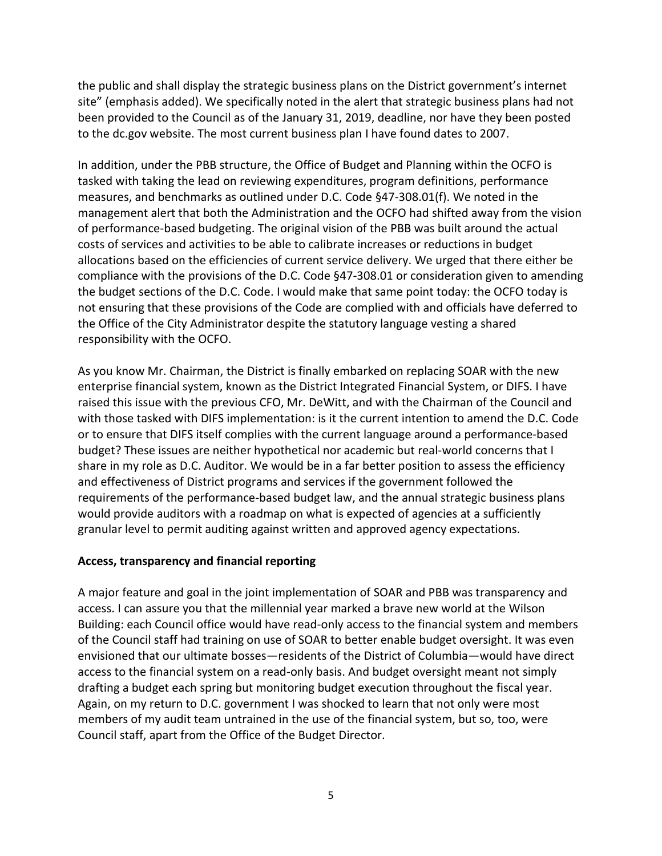the public and shall display the strategic business plans on the District government's internet site" (emphasis added). We specifically noted in the alert that strategic business plans had not been provided to the Council as of the January 31, 2019, deadline, nor have they been posted to the dc.gov website. The most current business plan I have found dates to 2007.

In addition, under the PBB structure, the Office of Budget and Planning within the OCFO is tasked with taking the lead on reviewing expenditures, program definitions, performance measures, and benchmarks as outlined under D.C. Code §47-308.01(f). We noted in the management alert that both the Administration and the OCFO had shifted away from the vision of performance-based budgeting. The original vision of the PBB was built around the actual costs of services and activities to be able to calibrate increases or reductions in budget allocations based on the efficiencies of current service delivery. We urged that there either be compliance with the provisions of the D.C. Code §47-308.01 or consideration given to amending the budget sections of the D.C. Code. I would make that same point today: the OCFO today is not ensuring that these provisions of the Code are complied with and officials have deferred to the Office of the City Administrator despite the statutory language vesting a shared responsibility with the OCFO.

As you know Mr. Chairman, the District is finally embarked on replacing SOAR with the new enterprise financial system, known as the District Integrated Financial System, or DIFS. I have raised this issue with the previous CFO, Mr. DeWitt, and with the Chairman of the Council and with those tasked with DIFS implementation: is it the current intention to amend the D.C. Code or to ensure that DIFS itself complies with the current language around a performance-based budget? These issues are neither hypothetical nor academic but real-world concerns that I share in my role as D.C. Auditor. We would be in a far better position to assess the efficiency and effectiveness of District programs and services if the government followed the requirements of the performance-based budget law, and the annual strategic business plans would provide auditors with a roadmap on what is expected of agencies at a sufficiently granular level to permit auditing against written and approved agency expectations.

#### **Access, transparency and financial reporting**

A major feature and goal in the joint implementation of SOAR and PBB was transparency and access. I can assure you that the millennial year marked a brave new world at the Wilson Building: each Council office would have read-only access to the financial system and members of the Council staff had training on use of SOAR to better enable budget oversight. It was even envisioned that our ultimate bosses—residents of the District of Columbia—would have direct access to the financial system on a read-only basis. And budget oversight meant not simply drafting a budget each spring but monitoring budget execution throughout the fiscal year. Again, on my return to D.C. government I was shocked to learn that not only were most members of my audit team untrained in the use of the financial system, but so, too, were Council staff, apart from the Office of the Budget Director.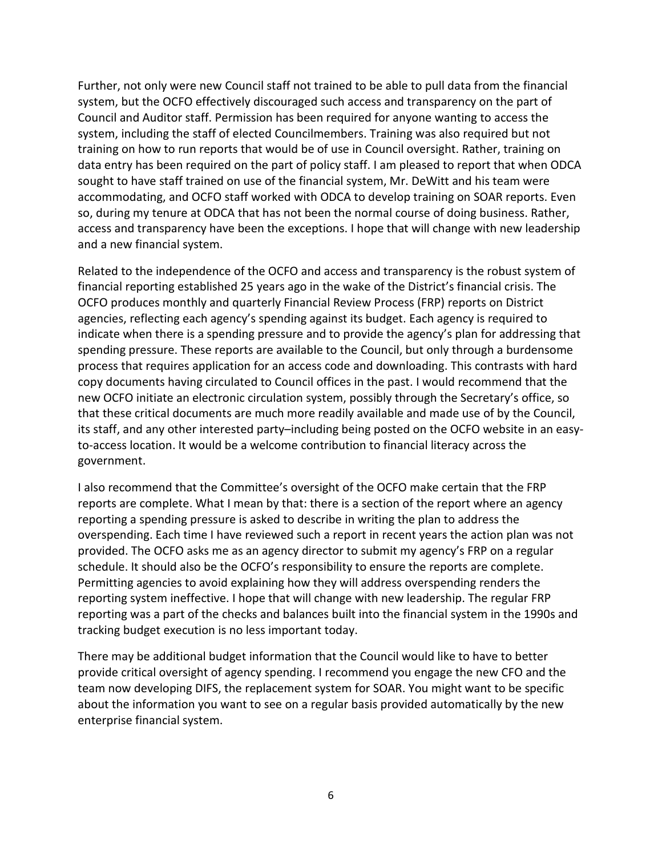Further, not only were new Council staff not trained to be able to pull data from the financial system, but the OCFO effectively discouraged such access and transparency on the part of Council and Auditor staff. Permission has been required for anyone wanting to access the system, including the staff of elected Councilmembers. Training was also required but not training on how to run reports that would be of use in Council oversight. Rather, training on data entry has been required on the part of policy staff. I am pleased to report that when ODCA sought to have staff trained on use of the financial system, Mr. DeWitt and his team were accommodating, and OCFO staff worked with ODCA to develop training on SOAR reports. Even so, during my tenure at ODCA that has not been the normal course of doing business. Rather, access and transparency have been the exceptions. I hope that will change with new leadership and a new financial system.

Related to the independence of the OCFO and access and transparency is the robust system of financial reporting established 25 years ago in the wake of the District's financial crisis. The OCFO produces monthly and quarterly Financial Review Process (FRP) reports on District agencies, reflecting each agency's spending against its budget. Each agency is required to indicate when there is a spending pressure and to provide the agency's plan for addressing that spending pressure. These reports are available to the Council, but only through a burdensome process that requires application for an access code and downloading. This contrasts with hard copy documents having circulated to Council offices in the past. I would recommend that the new OCFO initiate an electronic circulation system, possibly through the Secretary's office, so that these critical documents are much more readily available and made use of by the Council, its staff, and any other interested party–including being posted on the OCFO website in an easyto-access location. It would be a welcome contribution to financial literacy across the government.

I also recommend that the Committee's oversight of the OCFO make certain that the FRP reports are complete. What I mean by that: there is a section of the report where an agency reporting a spending pressure is asked to describe in writing the plan to address the overspending. Each time I have reviewed such a report in recent years the action plan was not provided. The OCFO asks me as an agency director to submit my agency's FRP on a regular schedule. It should also be the OCFO's responsibility to ensure the reports are complete. Permitting agencies to avoid explaining how they will address overspending renders the reporting system ineffective. I hope that will change with new leadership. The regular FRP reporting was a part of the checks and balances built into the financial system in the 1990s and tracking budget execution is no less important today.

There may be additional budget information that the Council would like to have to better provide critical oversight of agency spending. I recommend you engage the new CFO and the team now developing DIFS, the replacement system for SOAR. You might want to be specific about the information you want to see on a regular basis provided automatically by the new enterprise financial system.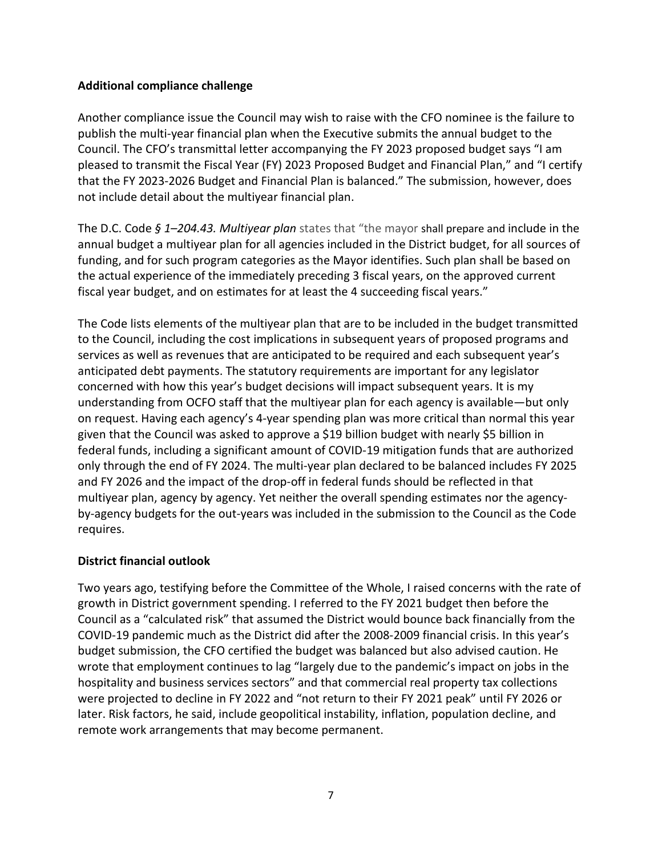### **Additional compliance challenge**

Another compliance issue the Council may wish to raise with the CFO nominee is the failure to publish the multi-year financial plan when the Executive submits the annual budget to the Council. The CFO's transmittal letter accompanying the FY 2023 proposed budget says "I am pleased to transmit the Fiscal Year (FY) 2023 Proposed Budget and Financial Plan," and "I certify that the FY 2023-2026 Budget and Financial Plan is balanced." The submission, however, does not include detail about the multiyear financial plan.

The D.C. Code *§ 1–204.43. Multiyear plan* states that "the mayor shall prepare and include in the annual budget a multiyear plan for all agencies included in the District budget, for all sources of funding, and for such program categories as the Mayor identifies. Such plan shall be based on the actual experience of the immediately preceding 3 fiscal years, on the approved current fiscal year budget, and on estimates for at least the 4 succeeding fiscal years."

The Code lists elements of the multiyear plan that are to be included in the budget transmitted to the Council, including the cost implications in subsequent years of proposed programs and services as well as revenues that are anticipated to be required and each subsequent year's anticipated debt payments. The statutory requirements are important for any legislator concerned with how this year's budget decisions will impact subsequent years. It is my understanding from OCFO staff that the multiyear plan for each agency is available—but only on request. Having each agency's 4-year spending plan was more critical than normal this year given that the Council was asked to approve a \$19 billion budget with nearly \$5 billion in federal funds, including a significant amount of COVID-19 mitigation funds that are authorized only through the end of FY 2024. The multi-year plan declared to be balanced includes FY 2025 and FY 2026 and the impact of the drop-off in federal funds should be reflected in that multiyear plan, agency by agency. Yet neither the overall spending estimates nor the agencyby-agency budgets for the out-years was included in the submission to the Council as the Code requires.

## **District financial outlook**

Two years ago, testifying before the Committee of the Whole, I raised concerns with the rate of growth in District government spending. I referred to the FY 2021 budget then before the Council as a "calculated risk" that assumed the District would bounce back financially from the COVID-19 pandemic much as the District did after the 2008-2009 financial crisis. In this year's budget submission, the CFO certified the budget was balanced but also advised caution. He wrote that employment continues to lag "largely due to the pandemic's impact on jobs in the hospitality and business services sectors" and that commercial real property tax collections were projected to decline in FY 2022 and "not return to their FY 2021 peak" until FY 2026 or later. Risk factors, he said, include geopolitical instability, inflation, population decline, and remote work arrangements that may become permanent.